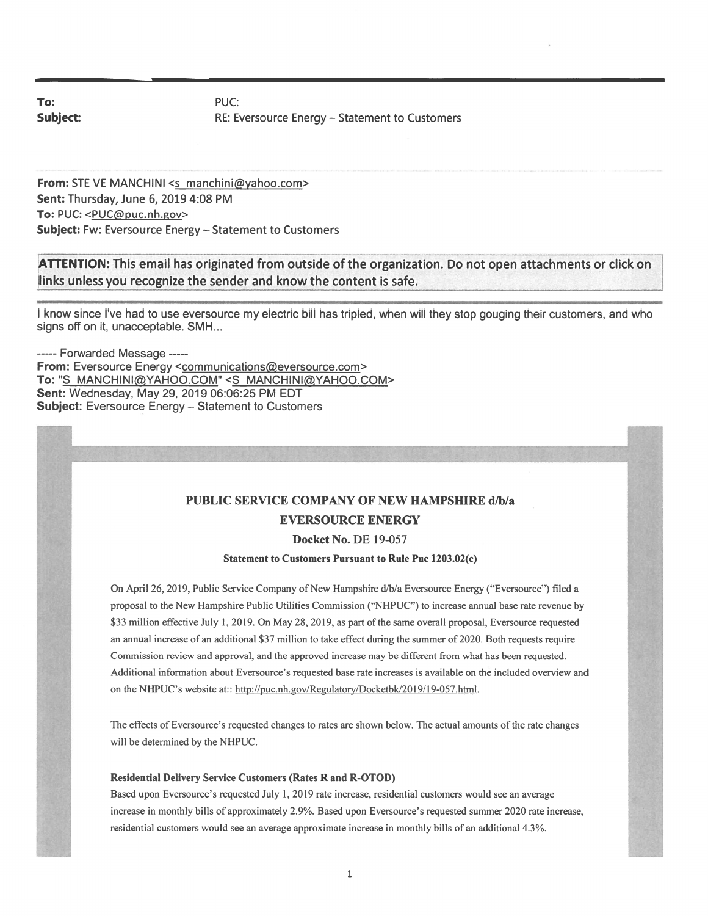To: PUC:

Subject: Subject: RE: Eversource Energy – Statement to Customers

From: STE VE MANCHINI <s manchini@yahoo.com> Sent: Thursday, June 6, 2019 4:08 PM To: PUC: < PUC@puc.nh.gov> Subject: Fw: Eversource Energy — Statement to Customers

ATTENTION: This email has originated from outside of the organization. Do not open attachments or click on links unless you recognize the sender and know the content is safe.

<sup>I</sup> know since I've had to use eversource my electric bill has tripled, when will they stop gouging their customers, and who signs off on it, unacceptable. SMH...

----- Forwarded Message -----From: Eversource Energy <communications@eversource.com> To: "S MANCHINI@YAHOO.COM" <S MANCHINI@YAHOO.COM> Sent: Wednesday, May 29, 2019 06:06:25 PM EDT Subject: Eversource Energy — Statement to Customers

### PUBLIC SERVICE COMPANY Of NEW HAMPSHIRE d/b/a EVERSOURCE ENERGY

Docket No. DE 19-057

Statement to Customers Pursuant to Rule Puc 1203.02(c)

On April 26, 2019, Public Service Company of New Hampshire d/b/a Eversource Energy ("Eversource") filed a proposal to the New Hampshire Public Utilities Commission ("NHPUC") to increase annual base rate revenue by \$33 million effective July 1, 2019. On May 28, 2019, as part of the same overall proposal, Eversource requested an annual increase of an additional \$37 million to take effect during the summer of 2020. Both requests require Commission review and approval, and the approved increase may be different from what has been requested. Additional information about Eversource's requested base rate increases is available on the included overview and on the NHPUC's website at:: http://puc.nh.gov/Regulatory/Docketbk/2019/19-057.html.

The effects of Eversource's requested changes to rates are shown below. The actual amounts of the rate changes will be determined by the NHPUC.

#### Residential Delivery Service Customers (Rates R and R-OTOD)

Based upon Eversource's requested July 1, 2019 rate increase, residential customers would see an average increase in monthly bills of approximately 2.9%. Based upon Eversource's requested summer 2020 rate increase, residential customers would see an average approximate increase in monthly bills of an additional 4.3%.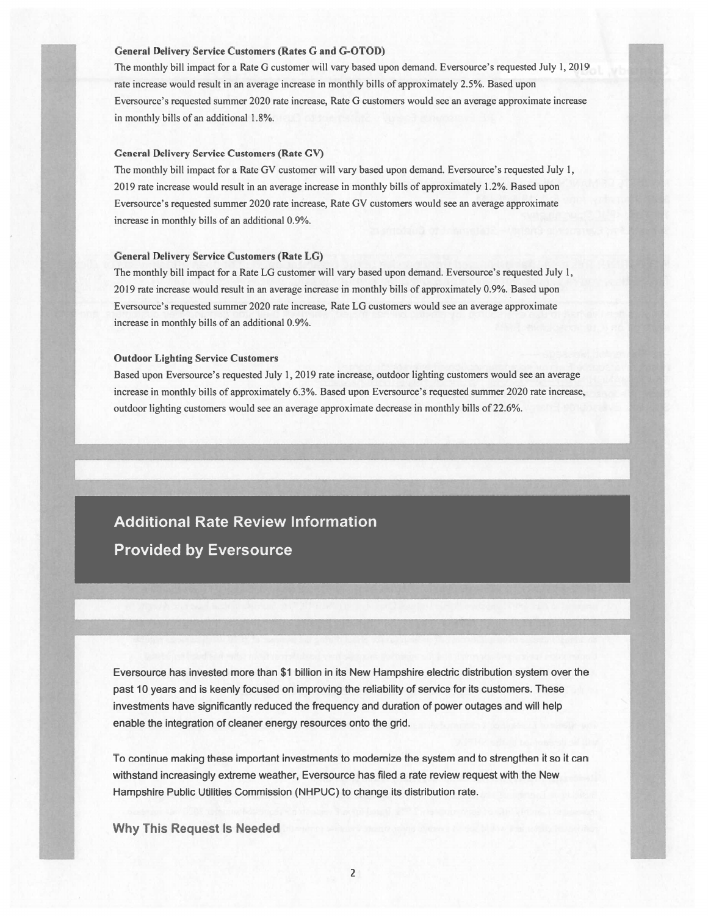#### General Delivery Service Customers (Rates G and G-OTOD)

The monthly bill impact for a Rate G customer will vary based upon demand. Eversource's requested July 1, 2019 rate increase would result in an average increase in monthly bills of approximately 2.5%. Based upon Eversource's requested summer 2020 rate increase, Rate G customers would see an average approximate increase in monthly bills of an additional 1.8%.

#### General Delivery Service Customers (Rate GV)

The monthly bill impact for <sup>a</sup> Rate GV customer will vary based upon demand. Eversource's requested July 1, 2019 rate increase would result in an average increase in monthly bills of approximately 1.2%. Based upon Eversource's requested summer 2020 rate increase, Rate GV customers would see an average approximate increase in monthly bills of an additional 0.9%.

#### General Delivery Service Customers (Rate LG)

The monthly bill impact for <sup>a</sup> Rate LG customer will vary based upon demand. Eversource's requested July 1, 2019 rate increase would result in an average increase in monthly bills of approximately 0.9%. Based upon Eversource's requested summer 2020 rate increase, Rate LG customers would see an average approximate increase in monthly bills of an additional 0.9%.

#### Outdoor Lighting Service Customers

Based upon Eversource's requested July 1, 2019 rate increase, outdoor lighting customers would see an average increase in monthly bills of approximately 6.3%. Based upon Eversource's requested summer 2020 rate increase, outdoor lighting customers would see an average approximate decrease in monthly bills of 22.6%.

# **Additional Rate Review Information Provided by Eversource**

Eversource has invested more than \$1 billion in its New Hampshire electric distribution system over the past 10 years and is keenly focused on improving the reliability of service for its customers. These investments have significantly reduced the frequency and duration of power outages and will help enable the integration of cleaner energy resources onto the grid.

To continue making these important investments to modernize the system and to strengthen it so it can withstand increasingly extreme weather, Eversource has filed <sup>a</sup> rate review reques<sup>t</sup> with the New Hampshire Public Utilities Commission (NHPUC) to change its distribution rate.

Why This Request Is Needed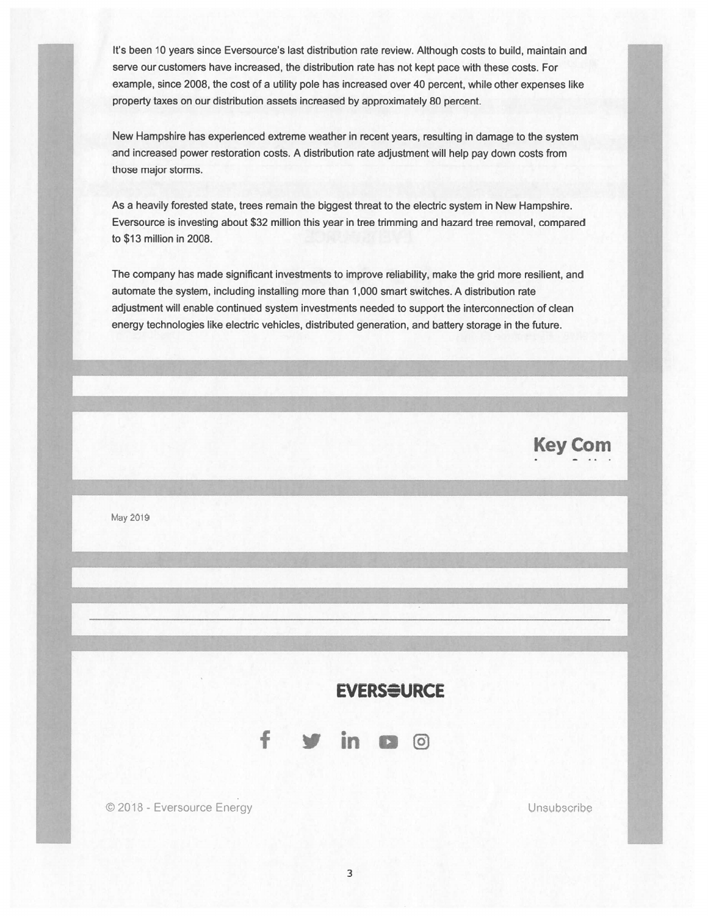It's been 10 years since Eversource's last distribution rate review. Although costs to build, maintain and serve our customers have increased, the distribution rate has not kept pace with these costs. For example, since 2008, the cost of <sup>a</sup> utility pole has increased over 40 percent, while other expenses like property taxes on our distribution assets increased by approximately 80 percent.

New Hampshire has experienced extreme weather in recent years, resulting in damage to the system and increased power restoration costs. <sup>A</sup> distribution rate adjustment will help pay down costs from those major storms.

As <sup>a</sup> heavily forested state, trees remain the biggest threat to the electric system in New Hampshire. Eversource is investing about \$32 million this year in tree trimming and hazard tree removal, compared to \$13 million in 2008.

The company has made significant investments to improve reliability, make the grid more resilient, and automate the system, including installing more than I 000 smart switches. A distribution rate adjustment will enable continued system investments needed to suppor<sup>t</sup> the interconnection of clean energy technologies like electric vehicles, distributed generation, and battery storage in the future.

May 2019

## **EVERS<del>S</del>URCE**



© 2018 - Eversource Energy Unsubscribe

**Key Com**